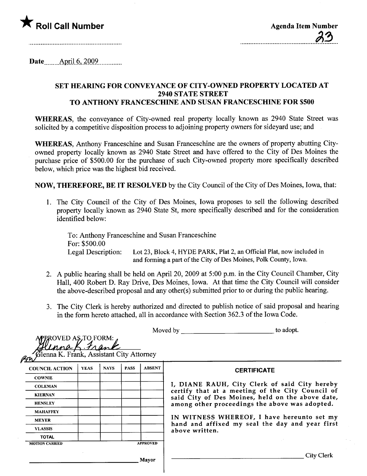

Date....  $\Delta \text{pril } 6, 2009$ 

## SET HEARING FOR CONVEYANCE OF CITY-OWNED PROPERTY LOCATED AT 2940 STATE STREET TO ANTHONY FRANCESCHINE AND SUSAN FRANCESCHINE FOR \$500

WHEREAS, the conveyance of City-owned real property locally known as 2940 State Street was solicited by a competitive disposition process to adjoining property owners for sideyard use; and

WHEREAS, Anthony Franceschine and Susan Franceschine are the owners of property abutting Cityowned property locally known as 2940 State Street and have offered to the City of Des Moines the purchase price of \$500.00 for the purchase of such City-owned property more specifically described below, which price was the highest bid received.

NOW, THEREFORE, BE IT RESOLVED by the City Council of the City of Des Moines, Iowa, that:

1. The City Council of the City of Des Moines, Iowa proposes to sell the following described property locally known as 2940 State St, more specifically described and for the consideration identified below:

To: Anthony Franceschine and Susan Franceschine For: \$500.00 Legal Description: Lot 23, Block 4, HYDE PARK, Plat 2, an Official Plat, now included in and forming a part of the City of Des Moines, Polk County, Iowa.

- 2. A public hearing shall be held on April 20, 2009 at 5:00 p.m. in the City Council Chamber, City Hall, 400 Robert D. Ray Drive, Des Moines, Iowa. At that time the City Council wil consider the above-described proposal and any other(s) submitted prior to or during the public hearng.
- 3. The City Clerk is hereby authorized and directed to publish notice of said proposal and hearing in the form hereto attached, all in accordance with Section 362.3 of the Iowa Code.

|                                                                              |             |             |             |                 | to adopt.<br>Moved by                                                                                                                                                                                                                                                                                                      |
|------------------------------------------------------------------------------|-------------|-------------|-------------|-----------------|----------------------------------------------------------------------------------------------------------------------------------------------------------------------------------------------------------------------------------------------------------------------------------------------------------------------------|
| ROVED AS, TO FORM:<br>Glenna K. Frank, Assistant City Attorney<br><u>Pir</u> |             |             |             |                 |                                                                                                                                                                                                                                                                                                                            |
| <b>COUNCIL ACTION</b>                                                        | <b>YEAS</b> | <b>NAYS</b> | <b>PASS</b> | <b>ABSENT</b>   | <b>CERTIFICATE</b>                                                                                                                                                                                                                                                                                                         |
| <b>COWNIE</b>                                                                |             |             |             |                 |                                                                                                                                                                                                                                                                                                                            |
| <b>COLEMAN</b>                                                               |             |             |             |                 | I, DIANE RAUH, City Clerk of said City hereby<br>certify that at a meeting of the City Council of<br>said City of Des Moines, held on the above date,<br>among other proceedings the above was adopted.<br>IN WITNESS WHEREOF, I have hereunto set my<br>hand and affixed my seal the day and year first<br>above written. |
| <b>KIERNAN</b>                                                               |             |             |             |                 |                                                                                                                                                                                                                                                                                                                            |
| <b>HENSLEY</b>                                                               |             |             |             |                 |                                                                                                                                                                                                                                                                                                                            |
| <b>MAHAFFEY</b>                                                              |             |             |             |                 |                                                                                                                                                                                                                                                                                                                            |
| <b>MEYER</b>                                                                 |             |             |             |                 |                                                                                                                                                                                                                                                                                                                            |
| <b>VLASSIS</b>                                                               |             |             |             |                 |                                                                                                                                                                                                                                                                                                                            |
| <b>TOTAL</b>                                                                 |             |             |             |                 |                                                                                                                                                                                                                                                                                                                            |
| <b>MOTION CARRIED</b>                                                        |             |             |             | <b>APPROVED</b> |                                                                                                                                                                                                                                                                                                                            |
|                                                                              |             |             |             | Mayor           | City Clerk                                                                                                                                                                                                                                                                                                                 |